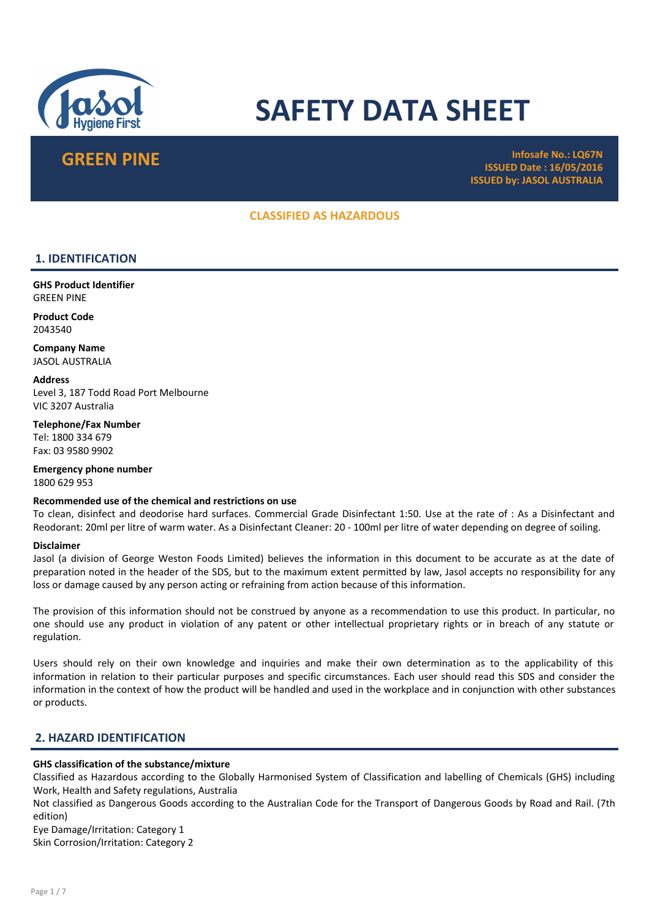

# SAFETY DATA SHEET

GREEN PINE Infosafe No.: LQ67N ISSUED Date : 16/05/2016 ISSUED by: JASOL AUSTRALIA

## CLASSIFIED AS HAZARDOUS

## 1. IDENTIFICATION

GHS Product Identifier GREEN PINE

Product Code 2043540

Company Name JASOL AUSTRALIA

**Address** Level 3, 187 Todd Road Port Melbourne VIC 3207 Australia

Telephone/Fax Number Tel: 1800 334 679 Fax: 03 9580 9902

Emergency phone number 1800 629 953

## Recommended use of the chemical and restrictions on use

To clean, disinfect and deodorise hard surfaces. Commercial Grade Disinfectant 1:50. Use at the rate of : As a Disinfectant and Reodorant: 20ml per litre of warm water. As a Disinfectant Cleaner: 20 - 100ml per litre of water depending on degree of soiling.

#### Disclaimer

Jasol (a division of George Weston Foods Limited) believes the information in this document to be accurate as at the date of preparation noted in the header of the SDS, but to the maximum extent permitted by law, Jasol accepts no responsibility for any loss or damage caused by any person acting or refraining from action because of this information.

The provision of this information should not be construed by anyone as a recommendation to use this product. In particular, no one should use any product in violation of any patent or other intellectual proprietary rights or in breach of any statute or regulation.

Users should rely on their own knowledge and inquiries and make their own determination as to the applicability of this information in relation to their particular purposes and specific circumstances. Each user should read this SDS and consider the information in the context of how the product will be handled and used in the workplace and in conjunction with other substances or products.

## 2. HAZARD IDENTIFICATION

## GHS classification of the substance/mixture

Classified as Hazardous according to the Globally Harmonised System of Classification and labelling of Chemicals (GHS) including Work, Health and Safety regulations, Australia

Not classified as Dangerous Goods according to the Australian Code for the Transport of Dangerous Goods by Road and Rail. (7th edition)

Eye Damage/Irritation: Category 1

Skin Corrosion/Irritation: Category 2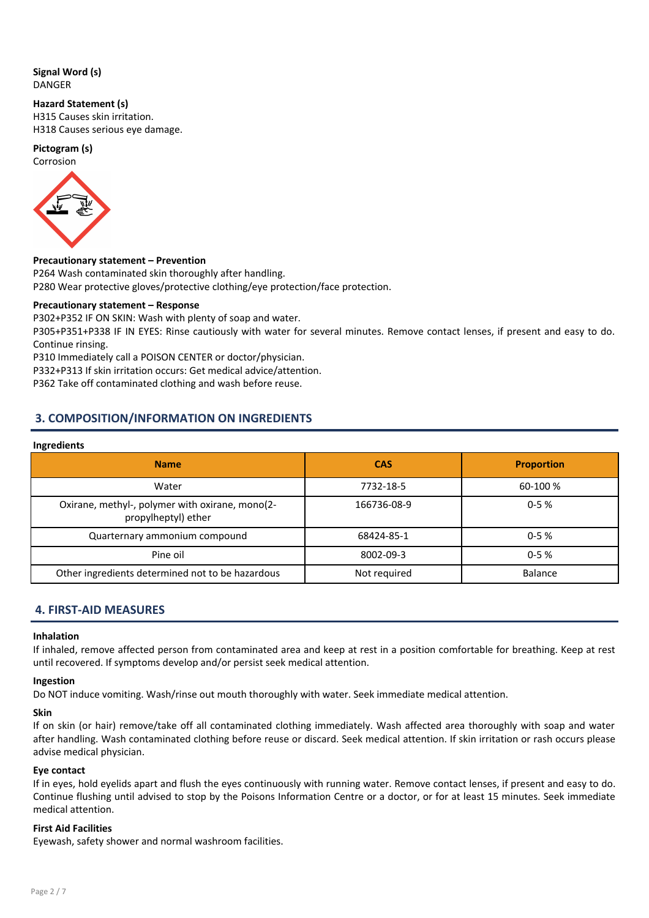## Signal Word (s) DANGER

#### Hazard Statement (s)

H315 Causes skin irritation. H318 Causes serious eye damage.

## Pictogram (s)



## Precautionary statement – Prevention

P264 Wash contaminated skin thoroughly after handling. P280 Wear protective gloves/protective clothing/eye protection/face protection.

## Precautionary statement – Response

P302+P352 IF ON SKIN: Wash with plenty of soap and water.

P305+P351+P338 IF IN EYES: Rinse cautiously with water for several minutes. Remove contact lenses, if present and easy to do. Continue rinsing.

P310 Immediately call a POISON CENTER or doctor/physician.

P332+P313 If skin irritation occurs: Get medical advice/attention.

P362 Take off contaminated clothing and wash before reuse.

## 3. COMPOSITION/INFORMATION ON INGREDIENTS

#### Ingredients

| <b>Name</b>                                                            | <b>CAS</b>   | <b>Proportion</b> |
|------------------------------------------------------------------------|--------------|-------------------|
| Water                                                                  | 7732-18-5    | 60-100 %          |
| Oxirane, methyl-, polymer with oxirane, mono(2-<br>propylheptyl) ether | 166736-08-9  | $0 - 5%$          |
| Quarternary ammonium compound                                          | 68424-85-1   | $0 - 5%$          |
| Pine oil                                                               | 8002-09-3    | $0 - 5%$          |
| Other ingredients determined not to be hazardous                       | Not required | Balance           |

## 4. FIRST-AID MEASURES

## Inhalation

If inhaled, remove affected person from contaminated area and keep at rest in a position comfortable for breathing. Keep at rest until recovered. If symptoms develop and/or persist seek medical attention.

## Ingestion

Do NOT induce vomiting. Wash/rinse out mouth thoroughly with water. Seek immediate medical attention.

## Skin

If on skin (or hair) remove/take off all contaminated clothing immediately. Wash affected area thoroughly with soap and water after handling. Wash contaminated clothing before reuse or discard. Seek medical attention. If skin irritation or rash occurs please advise medical physician.

## Eye contact

If in eyes, hold eyelids apart and flush the eyes continuously with running water. Remove contact lenses, if present and easy to do. Continue flushing until advised to stop by the Poisons Information Centre or a doctor, or for at least 15 minutes. Seek immediate medical attention.

## First Aid Facilities

Eyewash, safety shower and normal washroom facilities.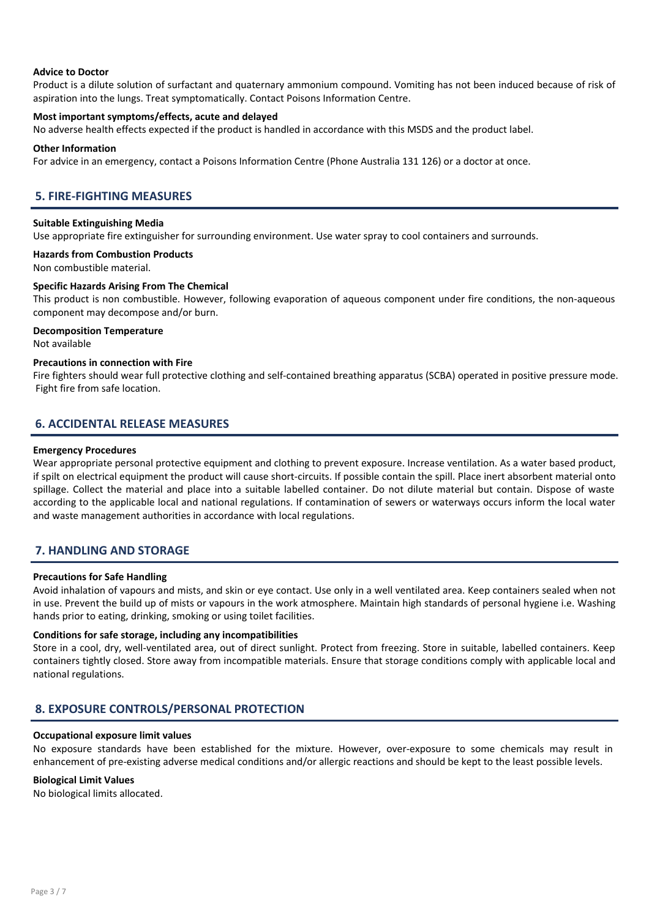#### Advice to Doctor

Product is a dilute solution of surfactant and quaternary ammonium compound. Vomiting has not been induced because of risk of aspiration into the lungs. Treat symptomatically. Contact Poisons Information Centre.

### Most important symptoms/effects, acute and delayed

No adverse health effects expected if the product is handled in accordance with this MSDS and the product label.

#### Other Information

For advice in an emergency, contact a Poisons Information Centre (Phone Australia 131 126) or a doctor at once.

## 5. FIRE-FIGHTING MEASURES

#### Suitable Extinguishing Media

Use appropriate fire extinguisher for surrounding environment. Use water spray to cool containers and surrounds.

#### Hazards from Combustion Products

Non combustible material.

## Specific Hazards Arising From The Chemical

This product is non combustible. However, following evaporation of aqueous component under fire conditions, the non-aqueous component may decompose and/or burn.

#### Decomposition Temperature

Not available

#### Precautions in connection with Fire

Fire fighters should wear full protective clothing and self-contained breathing apparatus (SCBA) operated in positive pressure mode. Fight fire from safe location.

## 6. ACCIDENTAL RELEASE MEASURES

#### Emergency Procedures

Wear appropriate personal protective equipment and clothing to prevent exposure. Increase ventilation. As a water based product, if spilt on electrical equipment the product will cause short-circuits. If possible contain the spill. Place inert absorbent material onto spillage. Collect the material and place into a suitable labelled container. Do not dilute material but contain. Dispose of waste according to the applicable local and national regulations. If contamination of sewers or waterways occurs inform the local water and waste management authorities in accordance with local regulations.

## 7. HANDLING AND STORAGE

#### Precautions for Safe Handling

Avoid inhalation of vapours and mists, and skin or eye contact. Use only in a well ventilated area. Keep containers sealed when not in use. Prevent the build up of mists or vapours in the work atmosphere. Maintain high standards of personal hygiene i.e. Washing hands prior to eating, drinking, smoking or using toilet facilities.

#### Conditions for safe storage, including any incompatibilities

Store in a cool, dry, well-ventilated area, out of direct sunlight. Protect from freezing. Store in suitable, labelled containers. Keep containers tightly closed. Store away from incompatible materials. Ensure that storage conditions comply with applicable local and national regulations.

## 8. EXPOSURE CONTROLS/PERSONAL PROTECTION

#### Occupational exposure limit values

No exposure standards have been established for the mixture. However, over-exposure to some chemicals may result in enhancement of pre-existing adverse medical conditions and/or allergic reactions and should be kept to the least possible levels.

#### Biological Limit Values

No biological limits allocated.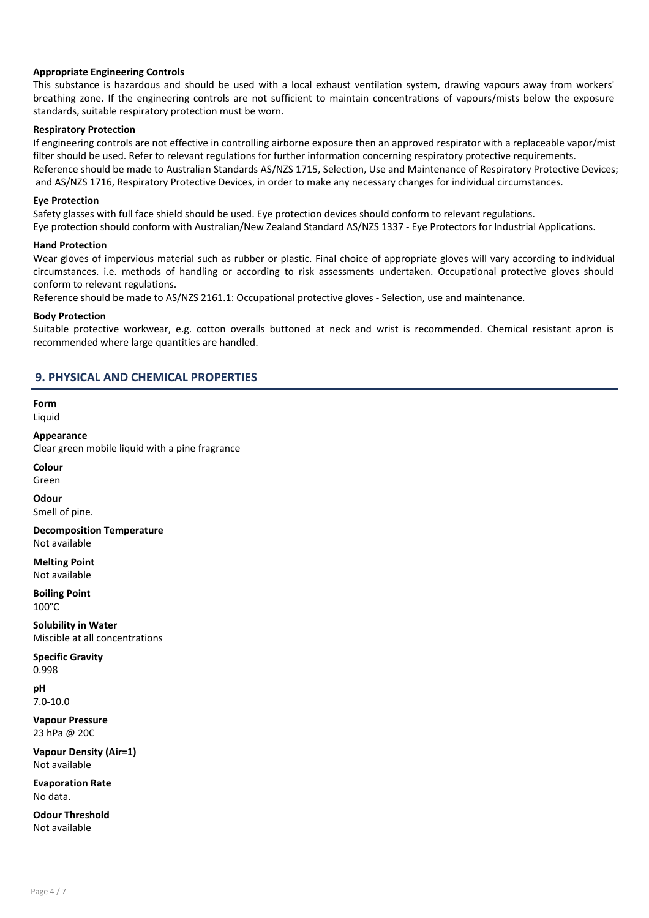## Appropriate Engineering Controls

This substance is hazardous and should be used with a local exhaust ventilation system, drawing vapours away from workers' breathing zone. If the engineering controls are not sufficient to maintain concentrations of vapours/mists below the exposure standards, suitable respiratory protection must be worn.

## Respiratory Protection

If engineering controls are not effective in controlling airborne exposure then an approved respirator with a replaceable vapor/mist filter should be used. Refer to relevant regulations for further information concerning respiratory protective requirements. Reference should be made to Australian Standards AS/NZS 1715, Selection, Use and Maintenance of Respiratory Protective Devices; and AS/NZS 1716, Respiratory Protective Devices, in order to make any necessary changes for individual circumstances.

### Eye Protection

Safety glasses with full face shield should be used. Eye protection devices should conform to relevant regulations.

Eye protection should conform with Australian/New Zealand Standard AS/NZS 1337 - Eye Protectors for Industrial Applications.

#### Hand Protection

Wear gloves of impervious material such as rubber or plastic. Final choice of appropriate gloves will vary according to individual circumstances. i.e. methods of handling or according to risk assessments undertaken. Occupational protective gloves should conform to relevant regulations.

Reference should be made to AS/NZS 2161.1: Occupational protective gloves - Selection, use and maintenance.

#### Body Protection

Suitable protective workwear, e.g. cotton overalls buttoned at neck and wrist is recommended. Chemical resistant apron is recommended where large quantities are handled.

## 9. PHYSICAL AND CHEMICAL PROPERTIES

Form Liquid

Appearance

Clear green mobile liquid with a pine fragrance

Colour

Green

**Odour** 

Smell of pine.

Decomposition Temperature Not available

Melting Point Not available

Boiling Point 100°C

Solubility in Water Miscible at all concentrations

Specific Gravity 0.998

pH 7.0-10.0

Vapour Pressure 23 hPa @ 20C

Vapour Density (Air=1) Not available

Evaporation Rate No data.

Odour Threshold Not available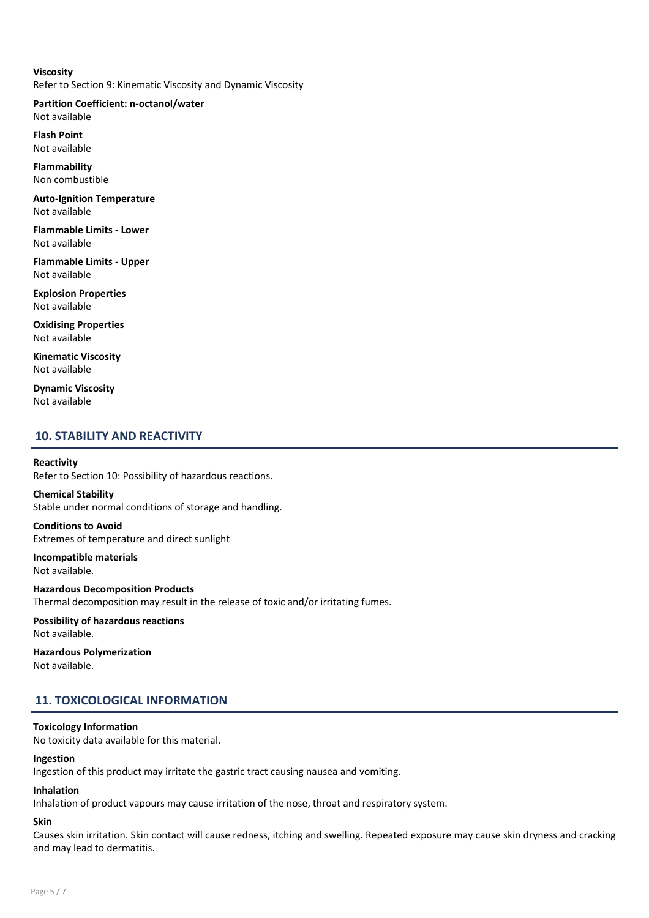## Viscosity Refer to Section 9: Kinematic Viscosity and Dynamic Viscosity

Partition Coefficient: n-octanol/water Not available

Flash Point Not available

Flammability Non combustible

Auto-Ignition Temperature Not available

Flammable Limits - Lower Not available

Flammable Limits - Upper Not available

Explosion Properties Not available

Oxidising Properties Not available

Kinematic Viscosity Not available

Dynamic Viscosity Not available

## 10. STABILITY AND REACTIVITY

## Reactivity

Refer to Section 10: Possibility of hazardous reactions.

### Chemical Stability Stable under normal conditions of storage and handling.

Conditions to Avoid

Extremes of temperature and direct sunlight

Incompatible materials Not available.

Hazardous Decomposition Products Thermal decomposition may result in the release of toxic and/or irritating fumes.

Possibility of hazardous reactions Not available.

Hazardous Polymerization Not available.

## 11. TOXICOLOGICAL INFORMATION

## Toxicology Information

No toxicity data available for this material.

## Ingestion

Ingestion of this product may irritate the gastric tract causing nausea and vomiting.

## Inhalation

Inhalation of product vapours may cause irritation of the nose, throat and respiratory system.

## Skin

Causes skin irritation. Skin contact will cause redness, itching and swelling. Repeated exposure may cause skin dryness and cracking and may lead to dermatitis.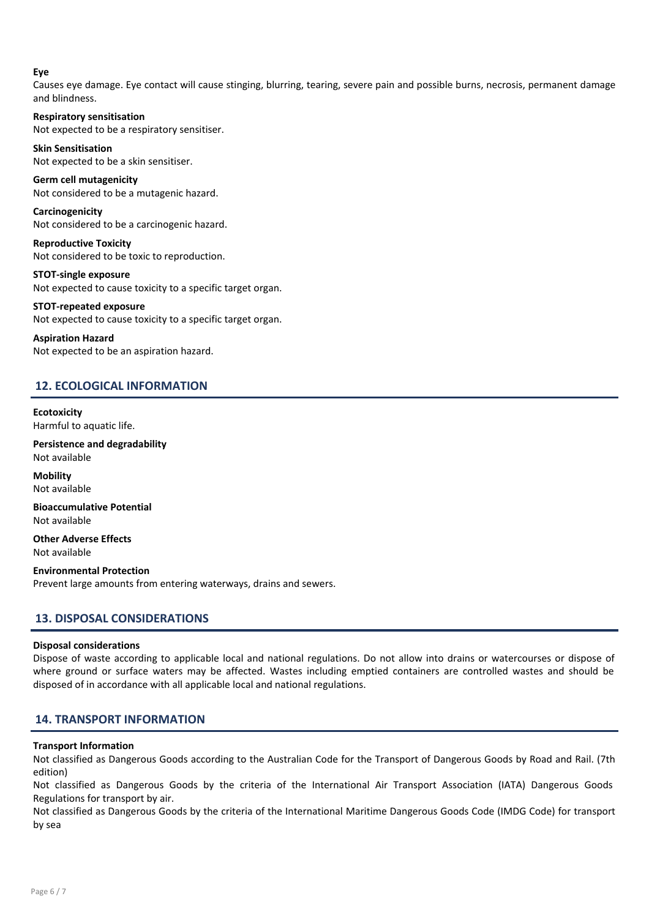## Eye

Causes eye damage. Eye contact will cause stinging, blurring, tearing, severe pain and possible burns, necrosis, permanent damage and blindness.

Respiratory sensitisation Not expected to be a respiratory sensitiser.

Skin Sensitisation Not expected to be a skin sensitiser.

Germ cell mutagenicity Not considered to be a mutagenic hazard.

Carcinogenicity Not considered to be a carcinogenic hazard.

Reproductive Toxicity Not considered to be toxic to reproduction.

STOT-single exposure Not expected to cause toxicity to a specific target organ.

STOT-repeated exposure Not expected to cause toxicity to a specific target organ.

Aspiration Hazard Not expected to be an aspiration hazard.

## 12. ECOLOGICAL INFORMATION

**Ecotoxicity** Harmful to aquatic life.

Persistence and degradability Not available

Mobility Not available

Bioaccumulative Potential Not available

Other Adverse Effects Not available

Environmental Protection Prevent large amounts from entering waterways, drains and sewers.

## 13. DISPOSAL CONSIDERATIONS

## Disposal considerations

Dispose of waste according to applicable local and national regulations. Do not allow into drains or watercourses or dispose of where ground or surface waters may be affected. Wastes including emptied containers are controlled wastes and should be disposed of in accordance with all applicable local and national regulations.

## 14. TRANSPORT INFORMATION

## Transport Information

Not classified as Dangerous Goods according to the Australian Code for the Transport of Dangerous Goods by Road and Rail. (7th edition)

Not classified as Dangerous Goods by the criteria of the International Air Transport Association (IATA) Dangerous Goods Regulations for transport by air.

Not classified as Dangerous Goods by the criteria of the International Maritime Dangerous Goods Code (IMDG Code) for transport by sea